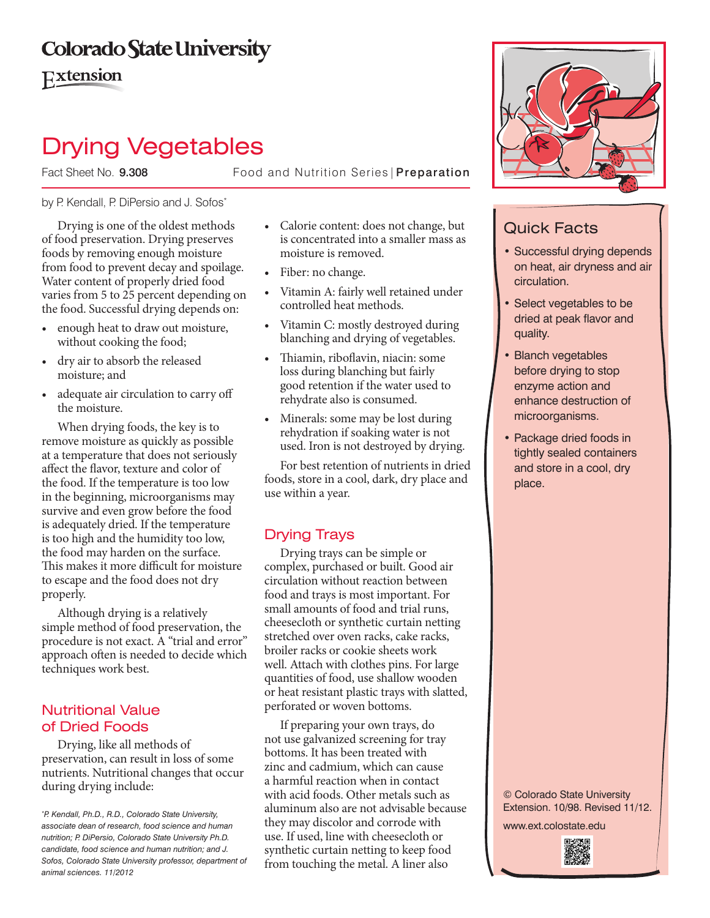# **Colorado State University**

Extension

# Drying Vegetables

Fact Sheet No. 9.308 Food and Nutrition Series | Preparation

### by P. Kendall, P. DiPersio and J. Sofos\*

Drying is one of the oldest methods of food preservation. Drying preserves foods by removing enough moisture from food to prevent decay and spoilage. Water content of properly dried food varies from 5 to 25 percent depending on the food. Successful drying depends on:

- enough heat to draw out moisture, without cooking the food;
- • dry air to absorb the released moisture; and
- • adequate air circulation to carry off the moisture.

When drying foods, the key is to remove moisture as quickly as possible at a temperature that does not seriously affect the flavor, texture and color of the food. If the temperature is too low in the beginning, microorganisms may survive and even grow before the food is adequately dried. If the temperature is too high and the humidity too low, the food may harden on the surface. This makes it more difficult for moisture to escape and the food does not dry properly.

Although drying is a relatively simple method of food preservation, the procedure is not exact. A "trial and error" approach often is needed to decide which techniques work best.

## Nutritional Value of Dried Foods

Drying, like all methods of preservation, can result in loss of some nutrients. Nutritional changes that occur during drying include:

- • Calorie content: does not change, but is concentrated into a smaller mass as moisture is removed.
- Fiber: no change.
- • Vitamin A: fairly well retained under controlled heat methods.
- • Vitamin C: mostly destroyed during blanching and drying of vegetables.
- Thiamin, riboflavin, niacin: some loss during blanching but fairly good retention if the water used to rehydrate also is consumed.
- Minerals: some may be lost during rehydration if soaking water is not used. Iron is not destroyed by drying.

For best retention of nutrients in dried foods, store in a cool, dark, dry place and use within a year.

## Drying Trays

Drying trays can be simple or complex, purchased or built. Good air circulation without reaction between food and trays is most important. For small amounts of food and trial runs, cheesecloth or synthetic curtain netting stretched over oven racks, cake racks, broiler racks or cookie sheets work well. Attach with clothes pins. For large quantities of food, use shallow wooden or heat resistant plastic trays with slatted, perforated or woven bottoms.

If preparing your own trays, do not use galvanized screening for tray bottoms. It has been treated with zinc and cadmium, which can cause a harmful reaction when in contact with acid foods. Other metals such as aluminum also are not advisable because they may discolor and corrode with use. If used, line with cheesecloth or synthetic curtain netting to keep food from touching the metal. A liner also



# Quick Facts

- Successful drying depends on heat, air dryness and air circulation.
- Select vegetables to be dried at peak flavor and quality.
- **Blanch vegetables** before drying to stop enzyme action and enhance destruction of microorganisms.
- Package dried foods in tightly sealed containers and store in a cool, dry place.

© Colorado State University Extension. 10/98. Revised 11/12.

www.ext.colostate.edu



*<sup>\*</sup> P. Kendall, Ph.D., R.D., Colorado State University, associate dean of research, food science and human nutrition; P. DiPersio, Colorado State University Ph.D. candidate, food science and human nutrition; and J. Sofos, Colorado State University professor, department of animal sciences. 11/2012*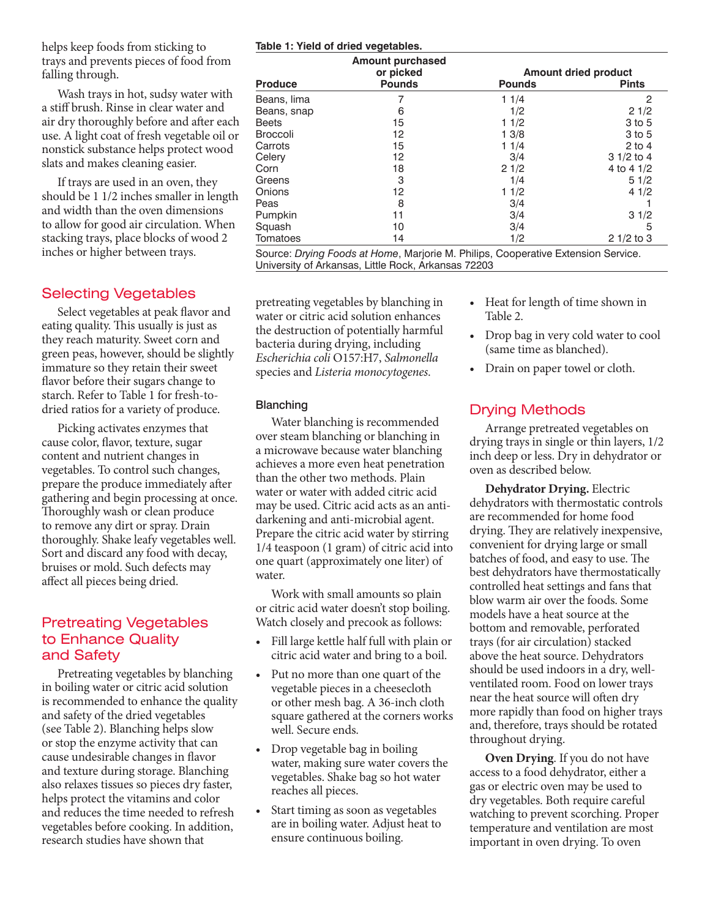helps keep foods from sticking to trays and prevents pieces of food from falling through.

Wash trays in hot, sudsy water with a stiff brush. Rinse in clear water and air dry thoroughly before and after each use. A light coat of fresh vegetable oil or nonstick substance helps protect wood slats and makes cleaning easier.

If trays are used in an oven, they should be 1 1/2 inches smaller in length and width than the oven dimensions to allow for good air circulation. When stacking trays, place blocks of wood 2 inches or higher between trays.

## Selecting Vegetables

Select vegetables at peak flavor and eating quality. This usually is just as they reach maturity. Sweet corn and green peas, however, should be slightly immature so they retain their sweet flavor before their sugars change to starch. Refer to Table 1 for fresh-todried ratios for a variety of produce.

Picking activates enzymes that cause color, flavor, texture, sugar content and nutrient changes in vegetables. To control such changes, prepare the produce immediately after gathering and begin processing at once. Thoroughly wash or clean produce to remove any dirt or spray. Drain thoroughly. Shake leafy vegetables well. Sort and discard any food with decay, bruises or mold. Such defects may affect all pieces being dried.

## Pretreating Vegetables to Enhance Quality and Safety

Pretreating vegetables by blanching in boiling water or citric acid solution is recommended to enhance the quality and safety of the dried vegetables (see Table 2). Blanching helps slow or stop the enzyme activity that can cause undesirable changes in flavor and texture during storage. Blanching also relaxes tissues so pieces dry faster, helps protect the vitamins and color and reduces the time needed to refresh vegetables before cooking. In addition, research studies have shown that

#### **Table 1: Yield of dried vegetables.**

|                 | <b>Amount purchased</b> |                             |              |  |
|-----------------|-------------------------|-----------------------------|--------------|--|
|                 | or picked               | <b>Amount dried product</b> |              |  |
| <b>Produce</b>  | <b>Pounds</b>           | <b>Pounds</b>               | <b>Pints</b> |  |
| Beans, lima     | 7                       | 11/4                        | 2            |  |
| Beans, snap     | 6                       | 1/2                         | 21/2         |  |
| <b>Beets</b>    | 15                      | 11/2                        | 3 to 5       |  |
| <b>Broccoli</b> | 12                      | 13/8                        | 3 to 5       |  |
| Carrots         | 15                      | 11/4                        | $2$ to 4     |  |
| Celery          | 12                      | 3/4                         | $31/2$ to 4  |  |
| Corn            | 18                      | 21/2                        | 4 to 4 $1/2$ |  |
| Greens          | 3                       | 1/4                         | 51/2         |  |
| Onions          | 12                      | 11/2                        | 41/2         |  |
| Peas            | 8                       | 3/4                         |              |  |
| Pumpkin         | 11                      | 3/4                         | 31/2         |  |
| Squash          | 10                      | 3/4                         | 5            |  |
| Tomatoes        | 14                      | 1/2                         | $21/2$ to 3  |  |

Source: *Drying Foods at Home*, Marjorie M. Philips, Cooperative Extension Service. University of Arkansas, Little Rock, Arkansas 72203

pretreating vegetables by blanching in water or citric acid solution enhances the destruction of potentially harmful bacteria during drying, including *Escherichia coli* O157:H7, *Salmonella* species and *Listeria monocytogenes*.

#### Blanching

Water blanching is recommended over steam blanching or blanching in a microwave because water blanching achieves a more even heat penetration than the other two methods. Plain water or water with added citric acid may be used. Citric acid acts as an antidarkening and anti-microbial agent. Prepare the citric acid water by stirring 1/4 teaspoon (1 gram) of citric acid into one quart (approximately one liter) of water.

Work with small amounts so plain or citric acid water doesn't stop boiling. Watch closely and precook as follows:

- • Fill large kettle half full with plain or citric acid water and bring to a boil.
- Put no more than one quart of the vegetable pieces in a cheesecloth or other mesh bag. A 36-inch cloth square gathered at the corners works well. Secure ends.
- Drop vegetable bag in boiling water, making sure water covers the vegetables. Shake bag so hot water reaches all pieces.
- Start timing as soon as vegetables are in boiling water. Adjust heat to ensure continuous boiling.
- Heat for length of time shown in Table 2.
- Drop bag in very cold water to cool (same time as blanched).
- Drain on paper towel or cloth.

## Drying Methods

Arrange pretreated vegetables on drying trays in single or thin layers, 1/2 inch deep or less. Dry in dehydrator or oven as described below.

**Dehydrator Drying.** Electric dehydrators with thermostatic controls are recommended for home food drying. They are relatively inexpensive, convenient for drying large or small batches of food, and easy to use. The best dehydrators have thermostatically controlled heat settings and fans that blow warm air over the foods. Some models have a heat source at the bottom and removable, perforated trays (for air circulation) stacked above the heat source. Dehydrators should be used indoors in a dry, wellventilated room. Food on lower trays near the heat source will often dry more rapidly than food on higher trays and, therefore, trays should be rotated throughout drying.

**Oven Drying**. If you do not have access to a food dehydrator, either a gas or electric oven may be used to dry vegetables. Both require careful watching to prevent scorching. Proper temperature and ventilation are most important in oven drying. To oven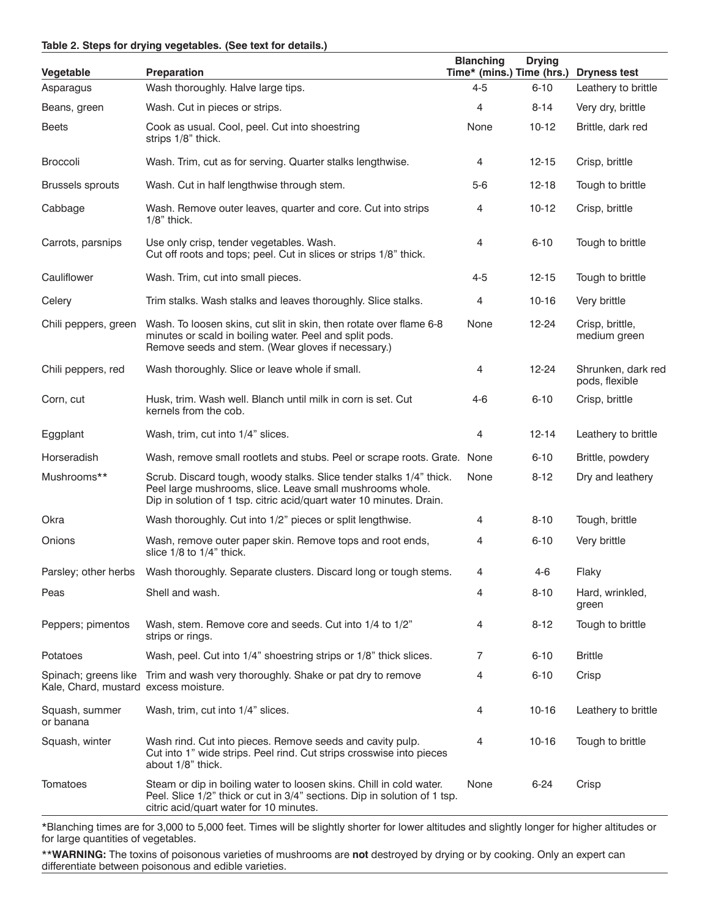#### **Table 2. Steps for drying vegetables. (See text for details.)**

| Vegetable                                                     | <b>Preparation</b>                                                                                                                                                                                       | <b>Blanching</b><br>Time* (mins.) Time (hrs.) | <b>Drying</b> | <b>Dryness test</b>                  |
|---------------------------------------------------------------|----------------------------------------------------------------------------------------------------------------------------------------------------------------------------------------------------------|-----------------------------------------------|---------------|--------------------------------------|
| Asparagus                                                     | Wash thoroughly. Halve large tips.                                                                                                                                                                       | $4 - 5$                                       | $6 - 10$      | Leathery to brittle                  |
| Beans, green                                                  | Wash. Cut in pieces or strips.                                                                                                                                                                           | 4                                             | $8 - 14$      | Very dry, brittle                    |
| Beets                                                         | Cook as usual. Cool, peel. Cut into shoestring<br>strips 1/8" thick.                                                                                                                                     | None                                          | $10-12$       | Brittle, dark red                    |
| Broccoli                                                      | Wash. Trim, cut as for serving. Quarter stalks lengthwise.                                                                                                                                               | 4                                             | $12 - 15$     | Crisp, brittle                       |
| <b>Brussels sprouts</b>                                       | Wash. Cut in half lengthwise through stem.                                                                                                                                                               | $5-6$                                         | $12 - 18$     | Tough to brittle                     |
| Cabbage                                                       | Wash. Remove outer leaves, quarter and core. Cut into strips<br>$1/8$ " thick.                                                                                                                           | 4                                             | $10-12$       | Crisp, brittle                       |
| Carrots, parsnips                                             | Use only crisp, tender vegetables. Wash.<br>Cut off roots and tops; peel. Cut in slices or strips 1/8" thick.                                                                                            | 4                                             | $6 - 10$      | Tough to brittle                     |
| Cauliflower                                                   | Wash. Trim, cut into small pieces.                                                                                                                                                                       | $4 - 5$                                       | $12 - 15$     | Tough to brittle                     |
| Celery                                                        | Trim stalks. Wash stalks and leaves thoroughly. Slice stalks.                                                                                                                                            | 4                                             | $10-16$       | Very brittle                         |
| Chili peppers, green                                          | Wash. To loosen skins, cut slit in skin, then rotate over flame 6-8<br>minutes or scald in boiling water. Peel and split pods.<br>Remove seeds and stem. (Wear gloves if necessary.)                     | None                                          | 12-24         | Crisp, brittle,<br>medium green      |
| Chili peppers, red                                            | Wash thoroughly. Slice or leave whole if small.                                                                                                                                                          | 4                                             | $12 - 24$     | Shrunken, dark red<br>pods, flexible |
| Corn, cut                                                     | Husk, trim. Wash well. Blanch until milk in corn is set. Cut<br>kernels from the cob.                                                                                                                    | $4-6$                                         | $6 - 10$      | Crisp, brittle                       |
| Eggplant                                                      | Wash, trim, cut into 1/4" slices.                                                                                                                                                                        | 4                                             | $12 - 14$     | Leathery to brittle                  |
| Horseradish                                                   | Wash, remove small rootlets and stubs. Peel or scrape roots. Grate. None                                                                                                                                 |                                               | $6 - 10$      | Brittle, powdery                     |
| Mushrooms**                                                   | Scrub. Discard tough, woody stalks. Slice tender stalks 1/4" thick.<br>Peel large mushrooms, slice. Leave small mushrooms whole.<br>Dip in solution of 1 tsp. citric acid/quart water 10 minutes. Drain. | None                                          | $8 - 12$      | Dry and leathery                     |
| Okra                                                          | Wash thoroughly. Cut into 1/2" pieces or split lengthwise.                                                                                                                                               | 4                                             | $8 - 10$      | Tough, brittle                       |
| Onions                                                        | Wash, remove outer paper skin. Remove tops and root ends,<br>slice 1/8 to 1/4" thick.                                                                                                                    | 4                                             | $6 - 10$      | Very brittle                         |
|                                                               | Parsley; other herbs  Wash thoroughly. Separate clusters. Discard long or tough stems.                                                                                                                   | 4                                             | $4 - 6$       | Flaky                                |
| Peas                                                          | Shell and wash.                                                                                                                                                                                          | 4                                             | $8 - 10$      | Hard, wrinkled,<br>green             |
| Peppers; pimentos                                             | Wash, stem. Remove core and seeds. Cut into 1/4 to 1/2"<br>strips or rings.                                                                                                                              | 4                                             | $8 - 12$      | Tough to brittle                     |
| Potatoes                                                      | Wash, peel. Cut into 1/4" shoestring strips or 1/8" thick slices.                                                                                                                                        | 7                                             | $6 - 10$      | <b>Brittle</b>                       |
| Spinach; greens like<br>Kale, Chard, mustard excess moisture. | Trim and wash very thoroughly. Shake or pat dry to remove                                                                                                                                                | 4                                             | $6 - 10$      | Crisp                                |
| Squash, summer<br>or banana                                   | Wash, trim, cut into 1/4" slices.                                                                                                                                                                        | 4                                             | $10-16$       | Leathery to brittle                  |
| Squash, winter                                                | Wash rind. Cut into pieces. Remove seeds and cavity pulp.<br>Cut into 1" wide strips. Peel rind. Cut strips crosswise into pieces<br>about 1/8" thick.                                                   | 4                                             | $10-16$       | Tough to brittle                     |
| Tomatoes                                                      | Steam or dip in boiling water to loosen skins. Chill in cold water.<br>Peel. Slice 1/2" thick or cut in 3/4" sections. Dip in solution of 1 tsp.<br>citric acid/quart water for 10 minutes.              | None                                          | $6 - 24$      | Crisp                                |

\*Blanching times are for 3,000 to 5,000 feet. Times will be slightly shorter for lower altitudes and slightly longer for higher altitudes or for large quantities of vegetables.

\*\***WARNING:** The toxins of poisonous varieties of mushrooms are **not** destroyed by drying or by cooking. Only an expert can differentiate between poisonous and edible varieties.